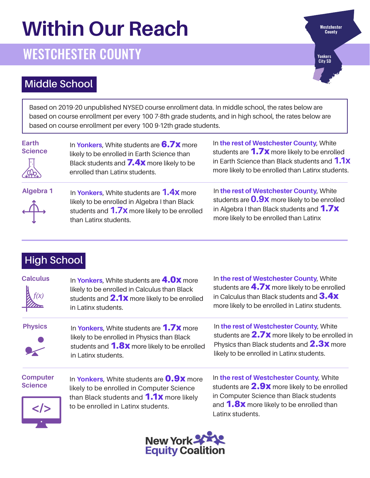# **Within Our Reach**

## WESTCHESTER COUNTY

Yonkers City SD

Westchester<br>County

#### **Middle School**

Based on 2019-20 unpublished NYSED course enrollment data. In middle school, the rates below are based on course enrollment per every 100 7-8th grade students, and in high school, the rates below are based on course enrollment per every 100 9-12th grade students.

| Earth<br><b>Science</b><br><b>SHOP</b> | In Yonkers, White students are $6.7x$ more<br>likely to be enrolled in Earth Science than<br>Black students and 7.4x more likely to be<br>enrolled than Latinx students. | In the rest of Westchester County, White<br>students are <b>1.7x</b> more likely to be enrolled<br>in Earth Science than Black students and 1.1x<br>more likely to be enrolled than Latinx students. |
|----------------------------------------|--------------------------------------------------------------------------------------------------------------------------------------------------------------------------|------------------------------------------------------------------------------------------------------------------------------------------------------------------------------------------------------|
| Algebra 1<br>$\overrightarrow{A}$      | In Yonkers, White students are 1.4X more<br>likely to be enrolled in Algebra I than Black<br>students and 1.7x more likely to be enrolled<br>than Latinx students.       | In the rest of Westchester County, White<br>students are <b>0.9x</b> more likely to be enrolled<br>in Algebra I than Black students and 1.7x<br>more likely to be enrolled than Latinx               |

### **High School**

| <b>Calculus</b><br>march          | In Yonkers, White students are 4.0x more<br>likely to be enrolled in Calculus than Black<br>students and 2.1x more likely to be enrolled<br>in Latinx students.       | In the rest of Westchester County, White<br>students are $4.7x$ more likely to be enrolled<br>in Calculus than Black students and $3.4x$<br>more likely to be enrolled in Latinx students. |  |  |  |
|-----------------------------------|-----------------------------------------------------------------------------------------------------------------------------------------------------------------------|--------------------------------------------------------------------------------------------------------------------------------------------------------------------------------------------|--|--|--|
| <b>Physics</b>                    | In Yonkers, White students are 1.7X more<br>likely to be enrolled in Physics than Black<br>students and <b>1.8x</b> more likely to be enrolled<br>in Latinx students. | In the rest of Westchester County, White<br>students are $2.7x$ more likely to be enrolled in<br>Physics than Black students and 2.3x more<br>likely to be enrolled in Latinx students.    |  |  |  |
| <b>Computer</b><br><b>Science</b> | In Yonkers, White students are <b>0.9x</b> more<br>likely to be enrolled in Computer Science<br>than Black students and <b>1.1X</b> more likely                       | In the rest of Westchester County, White<br>students are $2.9x$ more likely to be enrolled<br>in Computer Science than Black students                                                      |  |  |  |
| <br>$\bullet$                     | to be enrolled in Latinx students.                                                                                                                                    | and <b>1.8x</b> more likely to be enrolled than<br>Latinx students.                                                                                                                        |  |  |  |

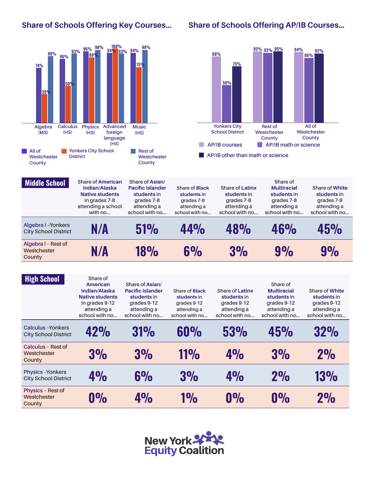#### **Share of Schools Offering Key Courses…**

#### **Share of Schools Offering AP/IB Courses…**